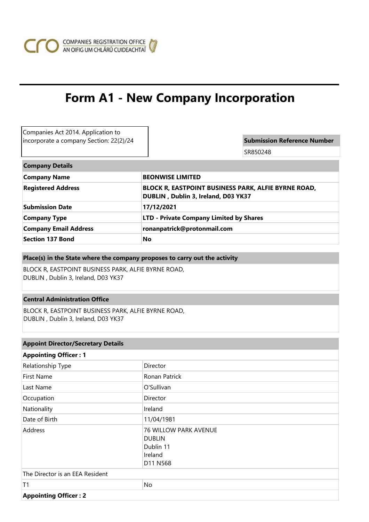

# **Form A1 - New Company Incorporation**

| Companies Act 2014. Application to      |                                                                                            |  |  |  |
|-----------------------------------------|--------------------------------------------------------------------------------------------|--|--|--|
| incorporate a company Section: 22(2)/24 | <b>Submission Reference Number</b>                                                         |  |  |  |
|                                         | SR850248                                                                                   |  |  |  |
| <b>Company Details</b>                  |                                                                                            |  |  |  |
| <b>Company Name</b>                     | <b>BEONWISE LIMITED</b>                                                                    |  |  |  |
| <b>Registered Address</b>               | BLOCK R, EASTPOINT BUSINESS PARK, ALFIE BYRNE ROAD,<br>DUBLIN, Dublin 3, Ireland, D03 YK37 |  |  |  |
| <b>Submission Date</b>                  | 17/12/2021                                                                                 |  |  |  |
| <b>Company Type</b>                     | <b>LTD - Private Company Limited by Shares</b>                                             |  |  |  |
| <b>Company Email Address</b>            | ronanpatrick@protonmail.com                                                                |  |  |  |
| <b>Section 137 Bond</b>                 | No                                                                                         |  |  |  |

## **Place(s) in the State where the company proposes to carry out the activity**

BLOCK R, EASTPOINT BUSINESS PARK, ALFIE BYRNE ROAD, DUBLIN , Dublin 3, Ireland, D03 YK37

# **Central Administration Office**

BLOCK R, EASTPOINT BUSINESS PARK, ALFIE BYRNE ROAD, DUBLIN , Dublin 3, Ireland, D03 YK37

# **Appoint Director/Secretary Details**

| <b>Appointing Officer: 1</b>    |                                                                                   |  |  |  |
|---------------------------------|-----------------------------------------------------------------------------------|--|--|--|
| Relationship Type               | Director                                                                          |  |  |  |
| First Name                      | Ronan Patrick                                                                     |  |  |  |
| Last Name                       | O'Sullivan                                                                        |  |  |  |
| Occupation                      | <b>Director</b>                                                                   |  |  |  |
| Nationality                     | Ireland                                                                           |  |  |  |
| Date of Birth                   | 11/04/1981                                                                        |  |  |  |
| Address                         | <b>76 WILLOW PARK AVENUE</b><br><b>DUBLIN</b><br>Dublin 11<br>Ireland<br>D11 N568 |  |  |  |
| The Director is an EEA Resident |                                                                                   |  |  |  |
| T1                              | No                                                                                |  |  |  |
| <b>Appointing Officer: 2</b>    |                                                                                   |  |  |  |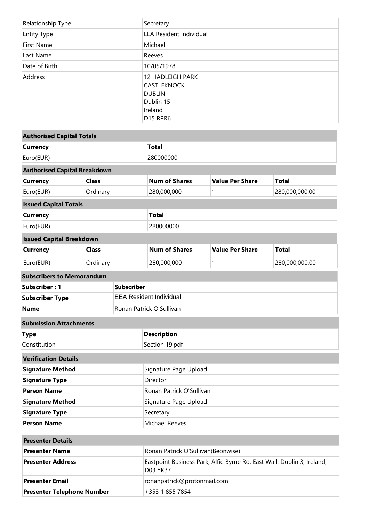| Relationship Type  | Secretary                                                                                               |
|--------------------|---------------------------------------------------------------------------------------------------------|
| <b>Entity Type</b> | <b>EEA Resident Individual</b>                                                                          |
| First Name         | Michael                                                                                                 |
| Last Name          | Reeves                                                                                                  |
| Date of Birth      | 10/05/1978                                                                                              |
| Address            | 12 HADLEIGH PARK<br><b>CASTLEKNOCK</b><br><b>DUBLIN</b><br>Dublin 15<br>Ireland<br>D <sub>15</sub> RPR6 |

| <b>Authorised Capital Totals</b>    |                                                                                    |                                    |                      |                        |                |
|-------------------------------------|------------------------------------------------------------------------------------|------------------------------------|----------------------|------------------------|----------------|
| <b>Currency</b>                     |                                                                                    | <b>Total</b>                       |                      |                        |                |
| Euro(EUR)                           |                                                                                    | 280000000                          |                      |                        |                |
| <b>Authorised Capital Breakdown</b> |                                                                                    |                                    |                      |                        |                |
| <b>Currency</b>                     | <b>Class</b>                                                                       |                                    | <b>Num of Shares</b> | <b>Value Per Share</b> | <b>Total</b>   |
| Euro(EUR)                           | Ordinary                                                                           |                                    | 280,000,000          | 1                      | 280,000,000.00 |
| <b>Issued Capital Totals</b>        |                                                                                    |                                    |                      |                        |                |
| <b>Currency</b>                     |                                                                                    | <b>Total</b>                       |                      |                        |                |
| Euro(EUR)                           |                                                                                    | 280000000                          |                      |                        |                |
| <b>Issued Capital Breakdown</b>     |                                                                                    |                                    |                      |                        |                |
| <b>Currency</b><br><b>Class</b>     |                                                                                    |                                    | <b>Num of Shares</b> | <b>Value Per Share</b> | <b>Total</b>   |
| Euro(EUR)                           | Ordinary                                                                           |                                    | 280,000,000          | 1                      | 280,000,000.00 |
| <b>Subscribers to Memorandum</b>    |                                                                                    |                                    |                      |                        |                |
| Subscriber: 1<br><b>Subscriber</b>  |                                                                                    |                                    |                      |                        |                |
| <b>Subscriber Type</b>              |                                                                                    | <b>EEA Resident Individual</b>     |                      |                        |                |
| <b>Name</b>                         |                                                                                    | Ronan Patrick O'Sullivan           |                      |                        |                |
| <b>Submission Attachments</b>       |                                                                                    |                                    |                      |                        |                |
| <b>Type</b>                         |                                                                                    | <b>Description</b>                 |                      |                        |                |
| Constitution                        |                                                                                    | Section 19.pdf                     |                      |                        |                |
| <b>Verification Details</b>         |                                                                                    |                                    |                      |                        |                |
| <b>Signature Method</b>             |                                                                                    | Signature Page Upload              |                      |                        |                |
| <b>Signature Type</b>               |                                                                                    | Director                           |                      |                        |                |
| <b>Person Name</b>                  |                                                                                    | Ronan Patrick O'Sullivan           |                      |                        |                |
| <b>Signature Method</b>             |                                                                                    | Signature Page Upload              |                      |                        |                |
| <b>Signature Type</b>               |                                                                                    | Secretary                          |                      |                        |                |
| <b>Person Name</b>                  |                                                                                    | <b>Michael Reeves</b>              |                      |                        |                |
| <b>Presenter Details</b>            |                                                                                    |                                    |                      |                        |                |
| <b>Presenter Name</b>               |                                                                                    | Ronan Patrick O'Sullivan(Beonwise) |                      |                        |                |
| <b>Presenter Address</b>            | Eastpoint Business Park, Alfie Byrne Rd, East Wall, Dublin 3, Ireland,<br>D03 YK37 |                                    |                      |                        |                |

**Presenter Email Presenter Email ronanpatrick@protonmail.com** 

**Presenter Telephone Number** +353 1 855 7854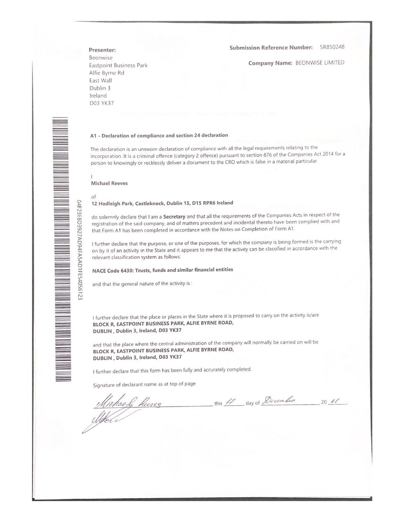Submission Reference Number: SR850248

Company Name: BEONWISE LIMITED

Presenter:

Beonwise Eastpoint Business Park Alfie Byrne Rd East Wall Dublin 3 Ireland **D03 YK37** 

#### A1 - Declaration of compliance and section 24 declaration

The declaration is an unsworn declaration of compliance with all the legal requirements relating to the incorporation. It is a criminal offence (category 2 offence) pursuant to section 876 of the Companies Act 2014 for a person to knowingly or recklessly deliver a document to the CRO which is false in a material particular.

**Michael Reeves** 

of

#### 12 Hadleigh Park, Castleknock, Dublin 15, D15 RPR6 Ireland

do solemnly declare that I am a Secretary and that all the requirements of the Companies Acts in respect of the registration of the said company, and of matters precedent and incidental thereto have been complied with and that Form A1 has been completed in accordance with the Notes on Completion of Form A1.

I further declare that the purpose, or one of the purposes, for which the company is being formed is the carrying on by it of an activity in the State and it appears to me that the activity can be classified in accordance with the relevant classification system as follows:

## NACE Code 6430: Trusts, funds and similar financial entities

and that the general nature of the activity is :

I further declare that the place or places in the State where it is proposed to carry on the activity is/are BLOCK R, EASTPOINT BUSINESS PARK, ALFIE BYRNE ROAD, DUBLIN, Dublin 3, Ireland, D03 YK37

and that the place where the central administration of the company will normally be carried on will be BLOCK R, EASTPOINT BUSINESS PARK, ALFIE BYRNE ROAD, DUBLIN, Dublin 3, Ireland, D03 YK37

I further declare that this form has been fully and accurately completed.

Signature of declarant name as at top of page

Michael Reeres this 17 day of December 20 21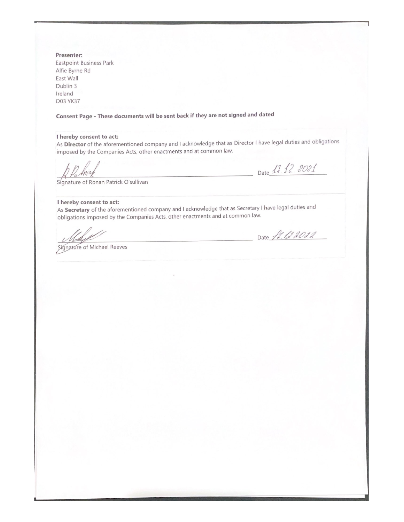Presenter: **Eastpoint Business Park** Alfie Byrne Rd East Wall Dublin 3 Ireland **D03 YK37** 

Consent Page - These documents will be sent back if they are not signed and dated

## I hereby consent to act:

As Director of the aforementioned company and I acknowledge that as Director I have legal duties and obligations imposed by the Companies Acts, other enactments and at common law.

Date 17 12 2021

Signature of Ronan Patrick O'sullivan

#### I hereby consent to act:

As Secretary of the aforementioned company and I acknowledge that as Secretary I have legal duties and obligations imposed by the Companies Acts, other enactments and at common law.

Signature of Michael Reeves

Date ft. 12.2022